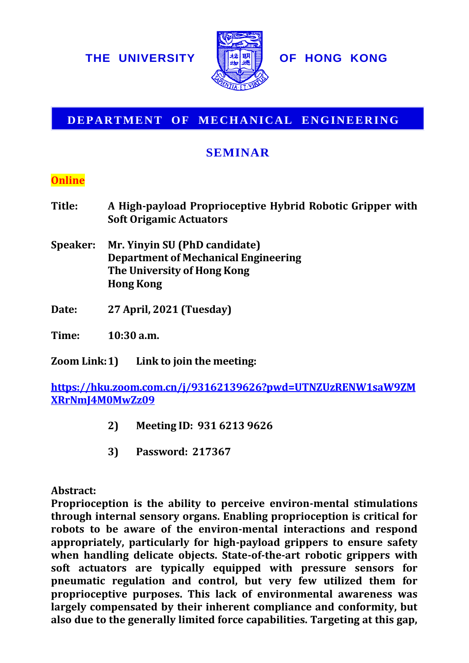

## **DEPARTMENT OF MECHANICAL ENGINEERING**

## **SEMINAR**

## **Online**

- **Title: A High-payload Proprioceptive Hybrid Robotic Gripper with Soft Origamic Actuators**
- **Speaker: Mr. Yinyin SU (PhD candidate) Department of Mechanical Engineering The University of Hong Kong Hong Kong**
- **Date: 27 April, 2021 (Tuesday)**

**Time: 10:30 a.m.**

**Zoom Link:1) Link to join the meeting:**

**[https://hku.zoom.com.cn/j/93162139626?pwd=UTNZUzRENW1saW9ZM](https://hku.zoom.com.cn/j/93162139626?pwd=UTNZUzRENW1saW9ZMXRrNmJ4M0MwZz09) [XRrNmJ4M0MwZz09](https://hku.zoom.com.cn/j/93162139626?pwd=UTNZUzRENW1saW9ZMXRrNmJ4M0MwZz09)**

- **2) Meeting ID: 931 6213 9626**
- **3) Password: 217367**

**Abstract:**

**Proprioception is the ability to perceive environ-mental stimulations through internal sensory organs. Enabling proprioception is critical for robots to be aware of the environ-mental interactions and respond appropriately, particularly for high-payload grippers to ensure safety when handling delicate objects. State-of-the-art robotic grippers with soft actuators are typically equipped with pressure sensors for pneumatic regulation and control, but very few utilized them for proprioceptive purposes. This lack of environmental awareness was largely compensated by their inherent compliance and conformity, but EXERCTS DEFARTMENT OF MECHANICAL ENGINEERING**<br> **CELARTMENT OF MECHANICAL ENGINEERING**<br> **CELARTMENT OF MECHANICAL ENGINEERING**<br> **CELARTMENT OF MECHANICAL ENGINEERING**<br> **Online**<br> **EXERCT META** at the gap of the capability o